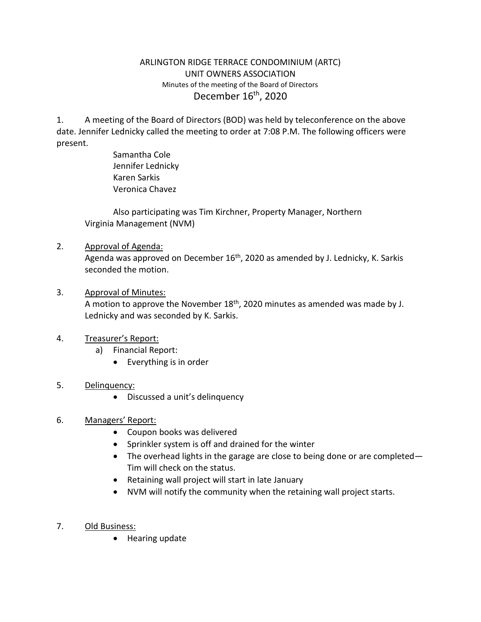### ARLINGTON RIDGE TERRACE CONDOMINIUM (ARTC) UNIT OWNERS ASSOCIATION Minutes of the meeting of the Board of Directors December 16<sup>th</sup>, 2020

1. A meeting of the Board of Directors (BOD) was held by teleconference on the above date. Jennifer Lednicky called the meeting to order at 7:08 P.M. The following officers were present.

> Samantha Cole Jennifer Lednicky Karen Sarkis Veronica Chavez

Also participating was Tim Kirchner, Property Manager, Northern Virginia Management (NVM)

- 2. Approval of Agenda: Agenda was approved on December 16<sup>th</sup>, 2020 as amended by J. Lednicky, K. Sarkis seconded the motion.
- 3. Approval of Minutes: A motion to approve the November  $18<sup>th</sup>$ , 2020 minutes as amended was made by J. Lednicky and was seconded by K. Sarkis.

# 4. Treasurer's Report:

- a) Financial Report:
	- Everything is in order

# 5. Delinquency:

• Discussed a unit's delinquency

# 6. Managers' Report:

- Coupon books was delivered
- Sprinkler system is off and drained for the winter
- The overhead lights in the garage are close to being done or are completed— Tim will check on the status.
- Retaining wall project will start in late January
- NVM will notify the community when the retaining wall project starts.
- 7. Old Business:
	- Hearing update